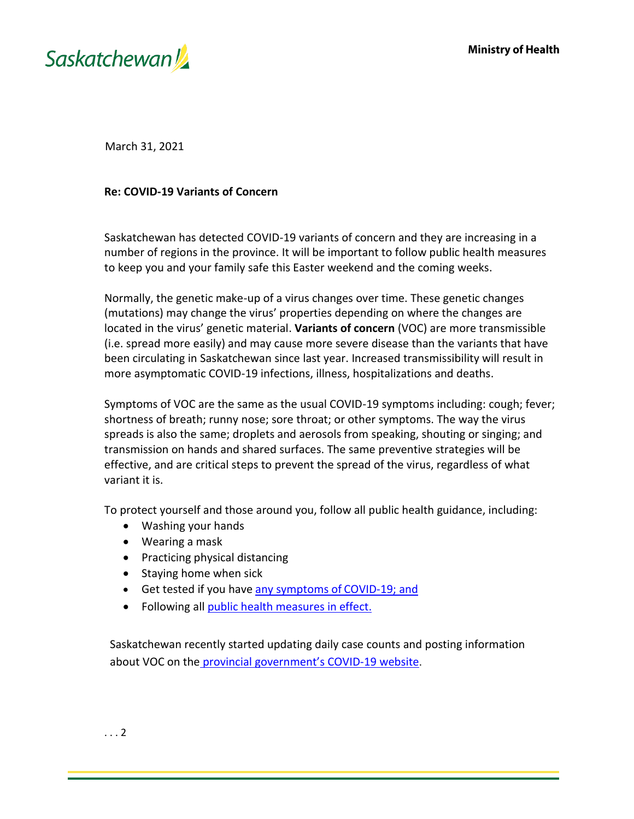



March 31, 2021

## **Re: COVID-19 Variants of Concern**

Saskatchewan has detected COVID-19 variants of concern and they are increasing in a number of regions in the province. It will be important to follow public health measures to keep you and your family safe this Easter weekend and the coming weeks.

Normally, the genetic make-up of a virus changes over time. These genetic changes (mutations) may change the virus' properties depending on where the changes are located in the virus' genetic material. **Variants of concern** (VOC) are more transmissible (i.e. spread more easily) and may cause more severe disease than the variants that have been circulating in Saskatchewan since last year. Increased transmissibility will result in more asymptomatic COVID-19 infections, illness, hospitalizations and deaths.

Symptoms of VOC are the same as the usual COVID-19 symptoms including: cough; fever; shortness of breath; runny nose; sore throat; or other symptoms. The way the virus spreads is also the same; droplets and aerosols from speaking, shouting or singing; and transmission on hands and shared surfaces. The same preventive strategies will be effective, and are critical steps to prevent the spread of the virus, regardless of what variant it is.

To protect yourself and those around you, follow all public health guidance, including:

- Washing your hands
- Wearing a mask
- Practicing physical distancing
- Staying home when sick
- Get tested if you have [any symptoms of](http://www.saskatchewan.ca/covid19-self-assessment) COVID-19; and
- Following all [public health measures in](https://www.saskatchewan.ca/government/health-care-administration-and-provider-resources/treatment-procedures-and-guidelines/emerging-public-health-issues/2019-novel-coronavirus/public-health-measures/public-health-orders) effect.

Saskatchewan recently started updating daily case counts and posting information about VOC on the [provincial govern](https://www.saskatchewan.ca/government/health-care-administration-and-provider-resources/treatment-procedures-and-guidelines/emerging-public-health-issues/2019-novel-coronavirus/cases-and-risk-of-covid-19-in-saskatchewan)ment's COVID-19 website.